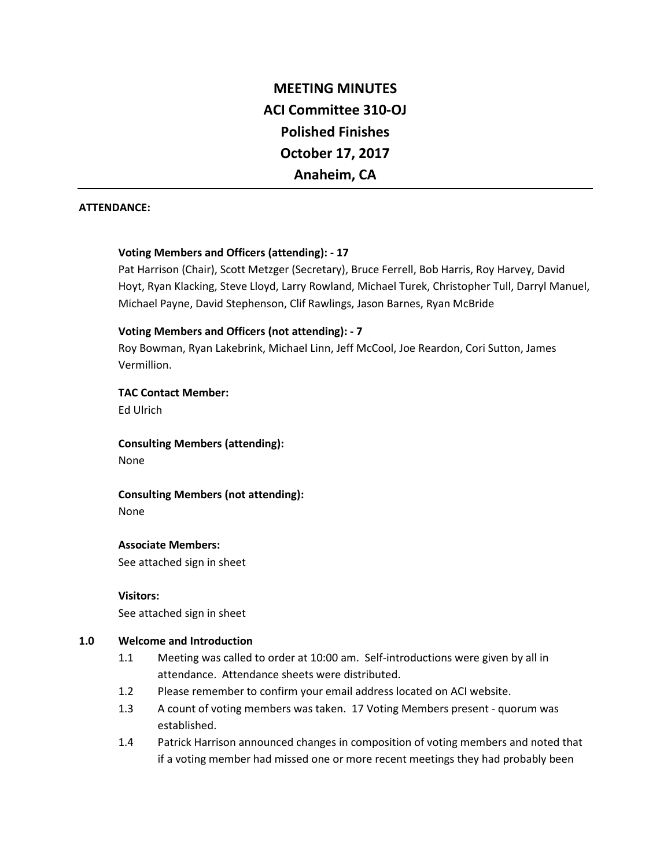# **MEETING MINUTES ACI Committee 310-OJ Polished Finishes October 17, 2017 Anaheim, CA**

#### **ATTENDANCE:**

## **Voting Members and Officers (attending): - 17**

Pat Harrison (Chair), Scott Metzger (Secretary), Bruce Ferrell, Bob Harris, Roy Harvey, David Hoyt, Ryan Klacking, Steve Lloyd, Larry Rowland, Michael Turek, Christopher Tull, Darryl Manuel, Michael Payne, David Stephenson, Clif Rawlings, Jason Barnes, Ryan McBride

## **Voting Members and Officers (not attending): - 7**

Roy Bowman, Ryan Lakebrink, Michael Linn, Jeff McCool, Joe Reardon, Cori Sutton, James Vermillion.

**TAC Contact Member:**

Ed Ulrich

**Consulting Members (attending):**

None

**Consulting Members (not attending):**

None

## **Associate Members:**

See attached sign in sheet

**Visitors:** See attached sign in sheet

## **1.0 Welcome and Introduction**

- 1.1 Meeting was called to order at 10:00 am. Self-introductions were given by all in attendance. Attendance sheets were distributed.
- 1.2 Please remember to confirm your email address located on ACI website.
- 1.3 A count of voting members was taken. 17 Voting Members present quorum was established.
- 1.4 Patrick Harrison announced changes in composition of voting members and noted that if a voting member had missed one or more recent meetings they had probably been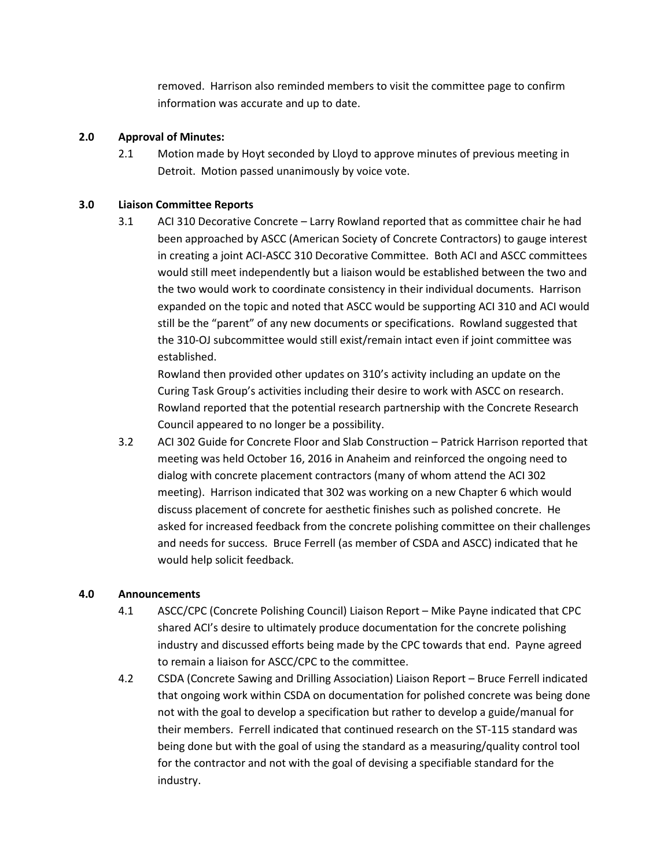removed. Harrison also reminded members to visit the committee page to confirm information was accurate and up to date.

## **2.0 Approval of Minutes:**

2.1 Motion made by Hoyt seconded by Lloyd to approve minutes of previous meeting in Detroit. Motion passed unanimously by voice vote.

## **3.0 Liaison Committee Reports**

3.1 ACI 310 Decorative Concrete – Larry Rowland reported that as committee chair he had been approached by ASCC (American Society of Concrete Contractors) to gauge interest in creating a joint ACI-ASCC 310 Decorative Committee. Both ACI and ASCC committees would still meet independently but a liaison would be established between the two and the two would work to coordinate consistency in their individual documents. Harrison expanded on the topic and noted that ASCC would be supporting ACI 310 and ACI would still be the "parent" of any new documents or specifications. Rowland suggested that the 310-OJ subcommittee would still exist/remain intact even if joint committee was established.

Rowland then provided other updates on 310's activity including an update on the Curing Task Group's activities including their desire to work with ASCC on research. Rowland reported that the potential research partnership with the Concrete Research Council appeared to no longer be a possibility.

3.2 ACI 302 Guide for Concrete Floor and Slab Construction – Patrick Harrison reported that meeting was held October 16, 2016 in Anaheim and reinforced the ongoing need to dialog with concrete placement contractors (many of whom attend the ACI 302 meeting). Harrison indicated that 302 was working on a new Chapter 6 which would discuss placement of concrete for aesthetic finishes such as polished concrete. He asked for increased feedback from the concrete polishing committee on their challenges and needs for success. Bruce Ferrell (as member of CSDA and ASCC) indicated that he would help solicit feedback.

## **4.0 Announcements**

- 4.1 ASCC/CPC (Concrete Polishing Council) Liaison Report Mike Payne indicated that CPC shared ACI's desire to ultimately produce documentation for the concrete polishing industry and discussed efforts being made by the CPC towards that end. Payne agreed to remain a liaison for ASCC/CPC to the committee.
- 4.2 CSDA (Concrete Sawing and Drilling Association) Liaison Report Bruce Ferrell indicated that ongoing work within CSDA on documentation for polished concrete was being done not with the goal to develop a specification but rather to develop a guide/manual for their members. Ferrell indicated that continued research on the ST-115 standard was being done but with the goal of using the standard as a measuring/quality control tool for the contractor and not with the goal of devising a specifiable standard for the industry.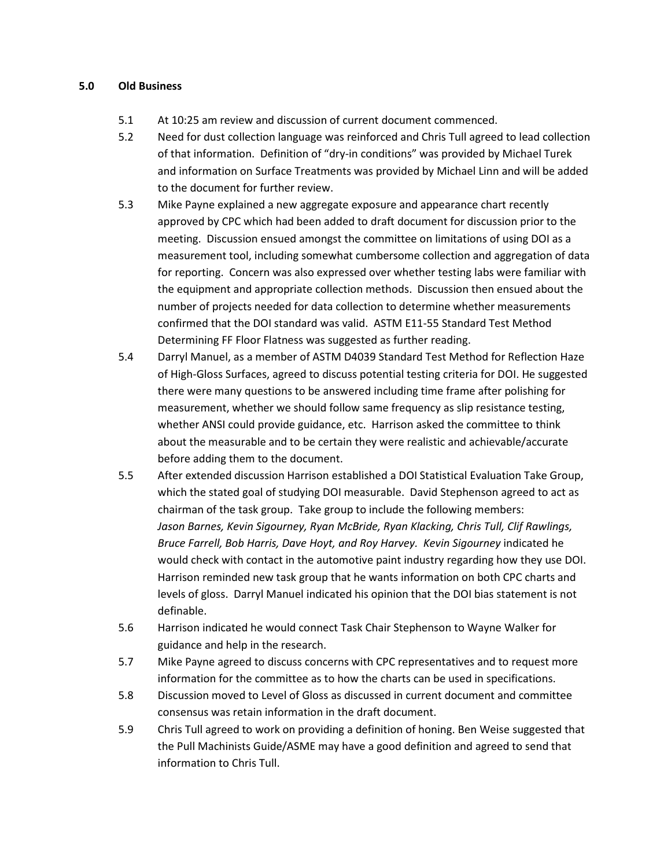#### **5.0 Old Business**

- 5.1 At 10:25 am review and discussion of current document commenced.
- 5.2 Need for dust collection language was reinforced and Chris Tull agreed to lead collection of that information. Definition of "dry-in conditions" was provided by Michael Turek and information on Surface Treatments was provided by Michael Linn and will be added to the document for further review.
- 5.3 Mike Payne explained a new aggregate exposure and appearance chart recently approved by CPC which had been added to draft document for discussion prior to the meeting. Discussion ensued amongst the committee on limitations of using DOI as a measurement tool, including somewhat cumbersome collection and aggregation of data for reporting. Concern was also expressed over whether testing labs were familiar with the equipment and appropriate collection methods. Discussion then ensued about the number of projects needed for data collection to determine whether measurements confirmed that the DOI standard was valid. ASTM E11-55 Standard Test Method Determining FF Floor Flatness was suggested as further reading.
- 5.4 Darryl Manuel, as a member of ASTM D4039 Standard Test Method for Reflection Haze of High-Gloss Surfaces, agreed to discuss potential testing criteria for DOI. He suggested there were many questions to be answered including time frame after polishing for measurement, whether we should follow same frequency as slip resistance testing, whether ANSI could provide guidance, etc. Harrison asked the committee to think about the measurable and to be certain they were realistic and achievable/accurate before adding them to the document.
- 5.5 After extended discussion Harrison established a DOI Statistical Evaluation Take Group, which the stated goal of studying DOI measurable. David Stephenson agreed to act as chairman of the task group. Take group to include the following members: *Jason Barnes, Kevin Sigourney, Ryan McBride, Ryan Klacking, Chris Tull, Clif Rawlings, Bruce Farrell, Bob Harris, Dave Hoyt, and Roy Harvey. Kevin Sigourney* indicated he would check with contact in the automotive paint industry regarding how they use DOI. Harrison reminded new task group that he wants information on both CPC charts and levels of gloss. Darryl Manuel indicated his opinion that the DOI bias statement is not definable.
- 5.6 Harrison indicated he would connect Task Chair Stephenson to Wayne Walker for guidance and help in the research.
- 5.7 Mike Payne agreed to discuss concerns with CPC representatives and to request more information for the committee as to how the charts can be used in specifications.
- 5.8 Discussion moved to Level of Gloss as discussed in current document and committee consensus was retain information in the draft document.
- 5.9 Chris Tull agreed to work on providing a definition of honing. Ben Weise suggested that the Pull Machinists Guide/ASME may have a good definition and agreed to send that information to Chris Tull.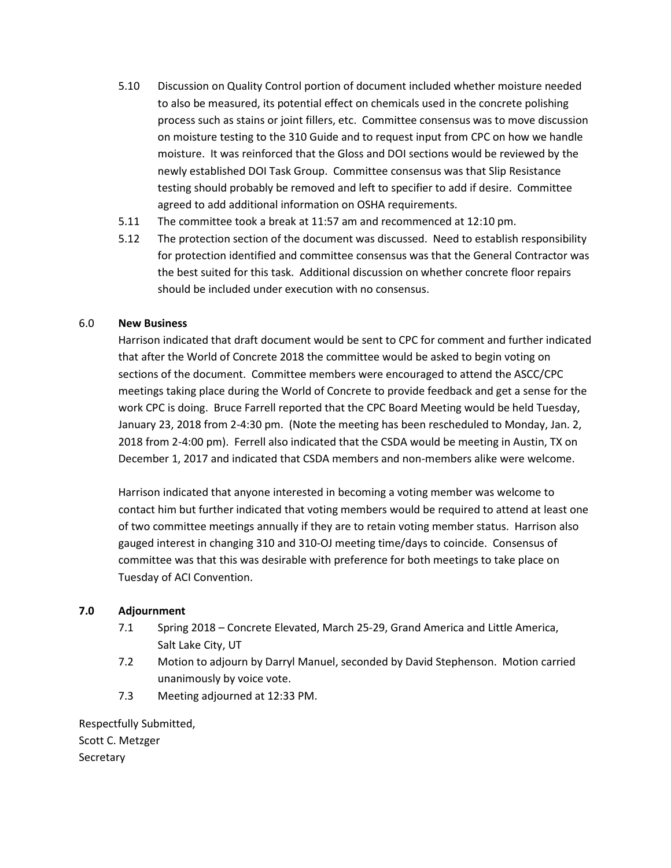- 5.10 Discussion on Quality Control portion of document included whether moisture needed to also be measured, its potential effect on chemicals used in the concrete polishing process such as stains or joint fillers, etc. Committee consensus was to move discussion on moisture testing to the 310 Guide and to request input from CPC on how we handle moisture. It was reinforced that the Gloss and DOI sections would be reviewed by the newly established DOI Task Group. Committee consensus was that Slip Resistance testing should probably be removed and left to specifier to add if desire. Committee agreed to add additional information on OSHA requirements.
- 5.11 The committee took a break at 11:57 am and recommenced at 12:10 pm.
- 5.12 The protection section of the document was discussed. Need to establish responsibility for protection identified and committee consensus was that the General Contractor was the best suited for this task. Additional discussion on whether concrete floor repairs should be included under execution with no consensus.

## 6.0 **New Business**

Harrison indicated that draft document would be sent to CPC for comment and further indicated that after the World of Concrete 2018 the committee would be asked to begin voting on sections of the document. Committee members were encouraged to attend the ASCC/CPC meetings taking place during the World of Concrete to provide feedback and get a sense for the work CPC is doing. Bruce Farrell reported that the CPC Board Meeting would be held Tuesday, January 23, 2018 from 2-4:30 pm. (Note the meeting has been rescheduled to Monday, Jan. 2, 2018 from 2-4:00 pm). Ferrell also indicated that the CSDA would be meeting in Austin, TX on December 1, 2017 and indicated that CSDA members and non-members alike were welcome.

Harrison indicated that anyone interested in becoming a voting member was welcome to contact him but further indicated that voting members would be required to attend at least one of two committee meetings annually if they are to retain voting member status. Harrison also gauged interest in changing 310 and 310-OJ meeting time/days to coincide. Consensus of committee was that this was desirable with preference for both meetings to take place on Tuesday of ACI Convention.

#### **7.0 Adjournment**

- 7.1 Spring 2018 Concrete Elevated, March 25-29, Grand America and Little America, Salt Lake City, UT
- 7.2 Motion to adjourn by Darryl Manuel, seconded by David Stephenson. Motion carried unanimously by voice vote.
- 7.3 Meeting adjourned at 12:33 PM.

Respectfully Submitted, Scott C. Metzger **Secretary**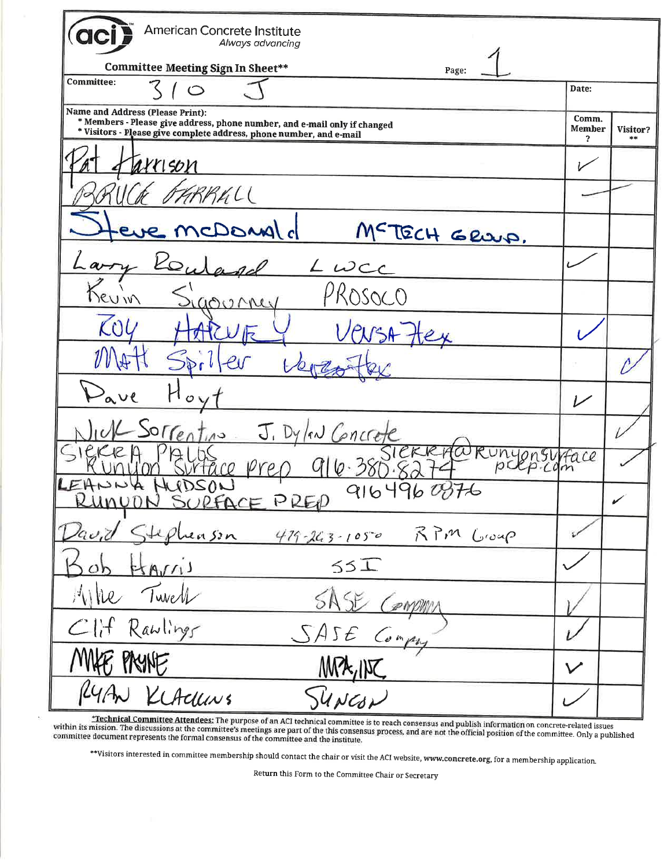| American Concrete Institute<br>Always advancing                                                                                                                                      |                             |          |
|--------------------------------------------------------------------------------------------------------------------------------------------------------------------------------------|-----------------------------|----------|
| <b>Committee Meeting Sign In Sheet**</b><br>Page:                                                                                                                                    |                             |          |
| <b>Committee:</b><br>$\circ$                                                                                                                                                         | Date:                       |          |
| Name and Address (Please Print):<br>* Members - Please give address, phone number, and e-mail only if changed<br>* Visitors - Please give complete address, phone number, and e-mail | Comm.<br><b>Member</b><br>? | Visitor? |
| urrison                                                                                                                                                                              |                             |          |
| RALL                                                                                                                                                                                 |                             |          |
| Is lang CI<br>MCTECH GRUP.                                                                                                                                                           |                             |          |
| $L$ wee                                                                                                                                                                              |                             |          |
| PROSOCO<br>$\frac{1}{2}$<br>0000MeV                                                                                                                                                  |                             |          |
| $\mathcal{L} \Omega$                                                                                                                                                                 |                             |          |
|                                                                                                                                                                                      |                             |          |
| ave                                                                                                                                                                                  | سرا                         |          |
| rentino<br>J. Dylow Goncre                                                                                                                                                           |                             |          |
|                                                                                                                                                                                      | Hace                        |          |
| 91649608<br>KUNYON SURFACE PREP                                                                                                                                                      |                             | ✔        |
| David Stephenson<br>419-263-1050 RPM Group                                                                                                                                           |                             |          |
| Bob Harris<br>55I                                                                                                                                                                    |                             |          |
| like Twell<br>SASE Compum                                                                                                                                                            |                             |          |
| Clif Rawlings<br>SASE Compry                                                                                                                                                         |                             |          |
| MAFE PAYNE<br>MPA, INC                                                                                                                                                               | $\boldsymbol{\mathcal{V}}$  |          |
| RYAN KLACUNS<br>SUNCON                                                                                                                                                               |                             |          |

Technical Committee Attendees: The purpose of an ACI technical committee is to reach consensus and publish information on concrete-related issues<br>within its mission. The discussions at the committee's meetings are part of

 $\epsilon$ 

\*\*Visitors interested in committee membership should contact the chair or visit the ACI website, www.concrete.org, for a membership application.

Return this Form to the Committee Chair or Secretary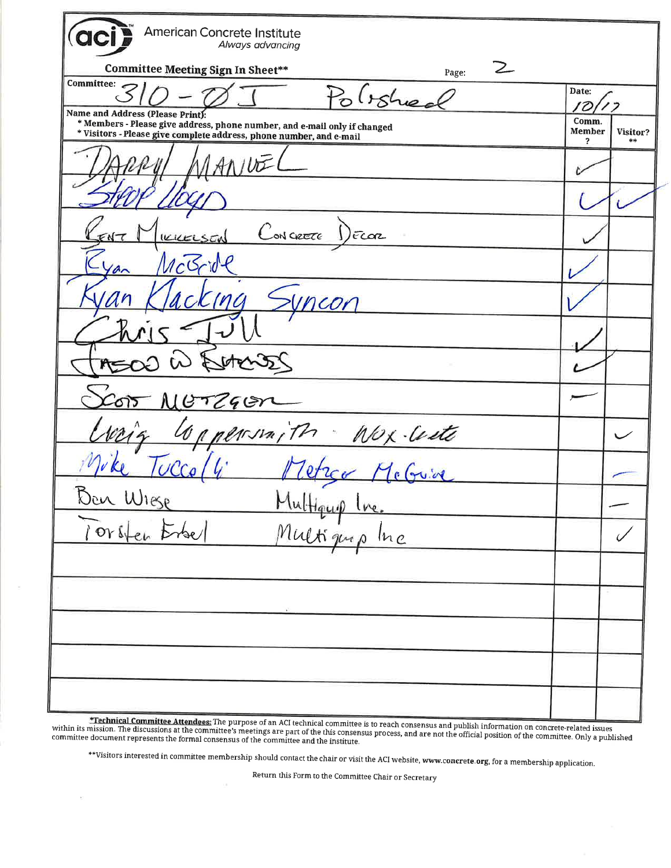**American Concrete Institute** Always advancing **Committee Meeting Sign In Sheet\*\***  $\mathcal{Z}$ Page: **Committee:** Date:  $l$ rshee ろ  $\mathcal D$ Name and Address (Please Print): \* Members - Please give address, phone number, and e-mail only if changed<br>\* Visitors - Please give complete address, phone number, and e-mail Comm. **Member** Visitor?  $\overline{\mathbf{r}}$  $\frac{1}{2}$  $JU\bar{U}$ ON CIRETE FLOR  $2CO<sub>r</sub>$ Nox-Center  $\sqrt{n_l}$  $\checkmark$ 

\*Technical Committee Attendees: The purpose of an ACI technical committee is to reach consensus and publish information on concrete-related issues within its mission. The discussions at the committee's meetings are part of the this consensus process, and are not the official position of the committee. Only a published committee document represents the formal consensus of the committee and the institute.

\*\*Visitors interested in committee membership should contact the chair or visit the ACI website, www.c<mark>oncrete.org,</mark> for a membership application.

Return this Form to the Committee Chair or Secretary